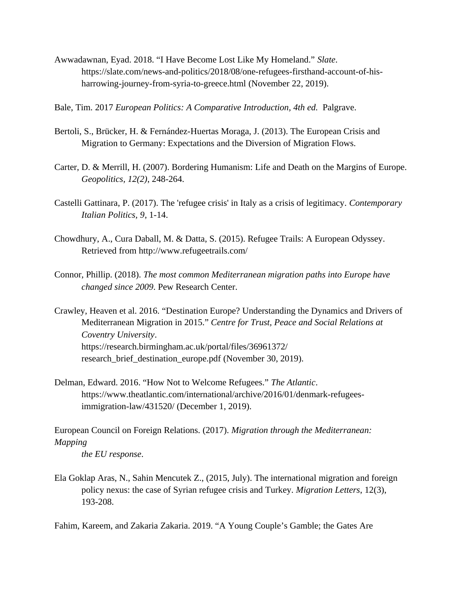Awwadawnan, Eyad. 2018. "I Have Become Lost Like My Homeland." *Slate*. https://slate.com/news-and-politics/2018/08/one-refugees-firsthand-account-of-hisharrowing-journey-from-syria-to-greece.html (November 22, 2019).

Bale, Tim. 2017 *European Politics: A Comparative Introduction, 4th ed. Palgrave.* 

- Bertoli, S., Brücker, H. & Fernández-Huertas Moraga, J. (2013). The European Crisis and Migration to Germany: Expectations and the Diversion of Migration Flows.
- Carter, D. & Merrill, H. (2007). Bordering Humanism: Life and Death on the Margins of Europe. *Geopolitics, 12(2)*, 248-264.
- Castelli Gattinara, P. (2017). The 'refugee crisis' in Italy as a crisis of legitimacy. *Contemporary Italian Politics, 9*, 1-14.
- Chowdhury, A., Cura Daball, M. & Datta, S. (2015). Refugee Trails: A European Odyssey. Retrieved from http://www.refugeetrails.com/
- Connor, Phillip. (2018). *The most common Mediterranean migration paths into Europe have changed since 2009*. Pew Research Center.

Crawley, Heaven et al. 2016. "Destination Europe? Understanding the Dynamics and Drivers of Mediterranean Migration in 2015." *Centre for Trust, Peace and Social Relations at Coventry University*. https://research.birmingham.ac.uk/portal/files/36961372/ research\_brief\_destination\_europe.pdf (November 30, 2019).

Delman, Edward. 2016. "How Not to Welcome Refugees." *The Atlantic*. https://www.theatlantic.com/international/archive/2016/01/denmark-refugeesimmigration-law/431520/ (December 1, 2019).

European Council on Foreign Relations. (2017). *Migration through the Mediterranean: Mapping* 

*the EU response*.

Ela Goklap Aras, N., Sahin Mencutek Z., (2015, July). The international migration and foreign policy nexus: the case of Syrian refugee crisis and Turkey. *Migration Letters*, 12(3), 193-208.

Fahim, Kareem, and Zakaria Zakaria. 2019. "A Young Couple's Gamble; the Gates Are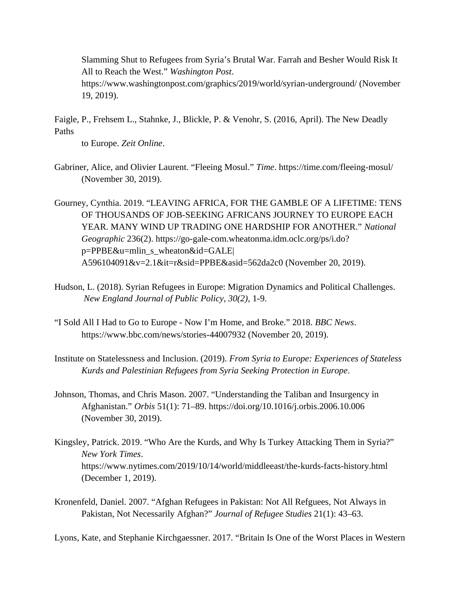Slamming Shut to Refugees from Syria's Brutal War. Farrah and Besher Would Risk It All to Reach the West." *Washington Post*.

https://www.washingtonpost.com/graphics/2019/world/syrian-underground/ (November 19, 2019).

Faigle, P., Frehsem L., Stahnke, J., Blickle, P. & Venohr, S. (2016, April). The New Deadly Paths

to Europe. *Zeit Online*.

- Gabriner, Alice, and Olivier Laurent. "Fleeing Mosul." *Time*. https://time.com/fleeing-mosul/ (November 30, 2019).
- Gourney, Cynthia. 2019. "LEAVING AFRICA, FOR THE GAMBLE OF A LIFETIME: TENS OF THOUSANDS OF JOB-SEEKING AFRICANS JOURNEY TO EUROPE EACH YEAR. MANY WIND UP TRADING ONE HARDSHIP FOR ANOTHER." *National Geographic* 236(2). https://go-gale-com.wheatonma.idm.oclc.org/ps/i.do? p=PPBE&u=mlin\_s\_wheaton&id=GALE| A596104091&v=2.1&it=r&sid=PPBE&asid=562da2c0 (November 20, 2019).
- Hudson, L. (2018). Syrian Refugees in Europe: Migration Dynamics and Political Challenges. *New England Journal of Public Policy, 30(2)*, 1-9.
- "I Sold All I Had to Go to Europe Now I'm Home, and Broke." 2018. *BBC News*. https://www.bbc.com/news/stories-44007932 (November 20, 2019).
- Institute on Statelessness and Inclusion. (2019). *From Syria to Europe: Experiences of Stateless Kurds and Palestinian Refugees from Syria Seeking Protection in Europe*.
- Johnson, Thomas, and Chris Mason. 2007. "Understanding the Taliban and Insurgency in Afghanistan." *Orbis* 51(1): 71–89. https://doi.org/10.1016/j.orbis.2006.10.006 (November 30, 2019).
- Kingsley, Patrick. 2019. "Who Are the Kurds, and Why Is Turkey Attacking Them in Syria?" *New York Times*. https://www.nytimes.com/2019/10/14/world/middleeast/the-kurds-facts-history.html (December 1, 2019).
- Kronenfeld, Daniel. 2007. "Afghan Refugees in Pakistan: Not All Refguees, Not Always in Pakistan, Not Necessarily Afghan?" *Journal of Refugee Studies* 21(1): 43–63.

Lyons, Kate, and Stephanie Kirchgaessner. 2017. "Britain Is One of the Worst Places in Western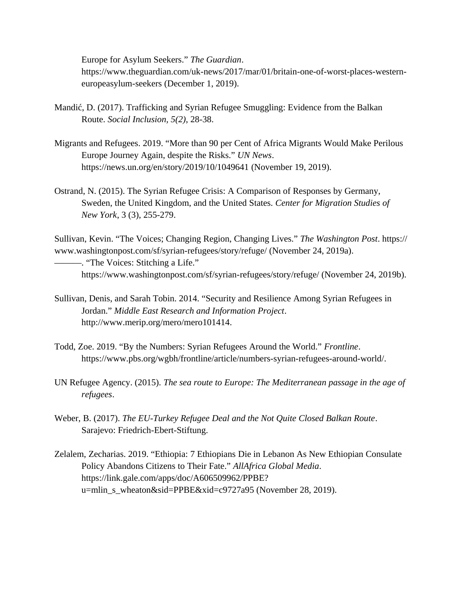Europe for Asylum Seekers." *The Guardian*. https://www.theguardian.com/uk-news/2017/mar/01/britain-one-of-worst-places-westerneuropeasylum-seekers (December 1, 2019).

- Mandić, D. (2017). Trafficking and Syrian Refugee Smuggling: Evidence from the Balkan Route. *Social Inclusion, 5(2)*, 28-38.
- Migrants and Refugees. 2019. "More than 90 per Cent of Africa Migrants Would Make Perilous Europe Journey Again, despite the Risks." *UN News*. https://news.un.org/en/story/2019/10/1049641 (November 19, 2019).
- Ostrand, N. (2015). The Syrian Refugee Crisis: A Comparison of Responses by Germany, Sweden, the United Kingdom, and the United States. *Center for Migration Studies of New York*, 3 (3), 255-279.

Sullivan, Kevin. "The Voices; Changing Region, Changing Lives." *The Washington Post*. https:// www.washingtonpost.com/sf/syrian-refugees/story/refuge/ (November 24, 2019a).

———. "The Voices: Stitching a Life." https://www.washingtonpost.com/sf/syrian-refugees/story/refuge/ (November 24, 2019b).

- Sullivan, Denis, and Sarah Tobin. 2014. "Security and Resilience Among Syrian Refugees in Jordan." *Middle East Research and Information Project*. http://www.merip.org/mero/mero101414.
- Todd, Zoe. 2019. "By the Numbers: Syrian Refugees Around the World." *Frontline*. https://www.pbs.org/wgbh/frontline/article/numbers-syrian-refugees-around-world/.
- UN Refugee Agency. (2015). *The sea route to Europe: The Mediterranean passage in the age of refugees*.
- Weber, B. (2017). *The EU-Turkey Refugee Deal and the Not Quite Closed Balkan Route*. Sarajevo: Friedrich-Ebert-Stiftung.
- Zelalem, Zecharias. 2019. "Ethiopia: 7 Ethiopians Die in Lebanon As New Ethiopian Consulate Policy Abandons Citizens to Their Fate." *AllAfrica Global Media*. https://link.gale.com/apps/doc/A606509962/PPBE? u=mlin\_s\_wheaton&sid=PPBE&xid=c9727a95 (November 28, 2019).